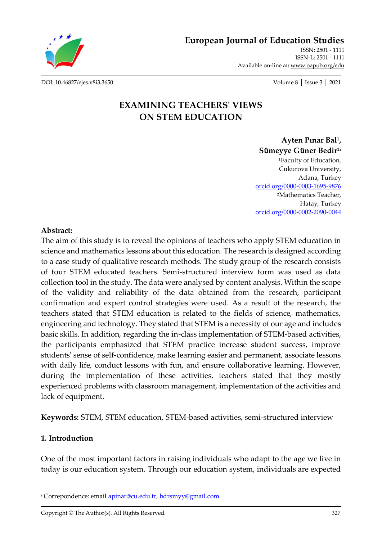

**[European Journal of Education Studies](http://oapub.org/edu/index.php/ejes)**

[ISSN: 2501 -](http://oapub.org/edu/index.php/ejes) 1111 [ISSN-L: 2501 -](http://oapub.org/edu/index.php/ejes) 1111 Available on-line at**:** [www.oapub.org/edu](http://www.oapub.org/edu)

[DOI: 10.46827/ejes.v8i3.3650](http://dx.doi.org/10.46827/ejes.v8i3.3650) Volume 8 │ Issue 3 │ 2021

## **EXAMINING TEACHERS' VIEWS ON STEM EDUCATION**

**Ayten Pınar Bal<sup>1</sup> , Sümeyye Güner Bedir2i <sup>1</sup>**Faculty of Education, Cukurova University, Adana, Turkey [orcid.org/0000-0003-1695-9876](http://orcid.org/0000-0003-1695-9876) **<sup>2</sup>**Mathematics Teacher, Hatay, Turkey [orcid.org/0000-0002-2090-0044](file:///C:/Users/PC%20Dell/Downloads/orcid.org/0000-0002-2090-0044)

### **Abstract:**

The aim of this study is to reveal the opinions of teachers who apply STEM education in science and mathematics lessons about this education. The research is designed according to a case study of qualitative research methods. The study group of the research consists of four STEM educated teachers. Semi-structured interview form was used as data collection tool in the study. The data were analysed by content analysis. Within the scope of the validity and reliability of the data obtained from the research, participant confirmation and expert control strategies were used. As a result of the research, the teachers stated that STEM education is related to the fields of science, mathematics, engineering and technology. They stated that STEM is a necessity of our age and includes basic skills. In addition, regarding the in-class implementation of STEM-based activities, the participants emphasized that STEM practice increase student success, improve students' sense of self-confidence, make learning easier and permanent, associate lessons with daily life, conduct lessons with fun, and ensure collaborative learning. However, during the implementation of these activities, teachers stated that they mostly experienced problems with classroom management, implementation of the activities and lack of equipment.

**Keywords:** STEM, STEM education, STEM-based activities, semi-structured interview

## **1. Introduction**

One of the most important factors in raising individuals who adapt to the age we live in today is our education system. Through our education system, individuals are expected

<sup>i</sup> Correpondence: emai[l apinar@cu.edu.tr,](mailto:apinar@cu.edu.tr) [bdrsmyy@gmail.com](mailto:bdrsmyy@gmail.com)

Copyright © The Author(s). All Rights Reserved. 327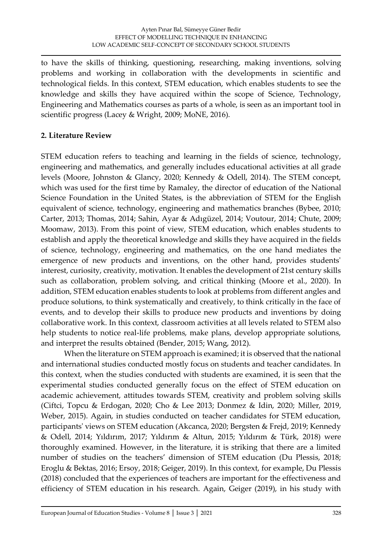to have the skills of thinking, questioning, researching, making inventions, solving problems and working in collaboration with the developments in scientific and technological fields. In this context, STEM education, which enables students to see the knowledge and skills they have acquired within the scope of Science, Technology, Engineering and Mathematics courses as parts of a whole, is seen as an important tool in scientific progress (Lacey & Wright, 2009; MoNE, 2016).

## **2. Literature Review**

STEM education refers to teaching and learning in the fields of science, technology, engineering and mathematics, and generally includes educational activities at all grade levels (Moore, Johnston & Glancy, 2020; Kennedy & Odell, 2014). The STEM concept, which was used for the first time by Ramaley, the director of education of the National Science Foundation in the United States, is the abbreviation of STEM for the English equivalent of science, technology, engineering and mathematics branches (Bybee, 2010; Carter, 2013; Thomas, 2014; Sahin, Ayar & Adıgüzel, 2014; Voutour, 2014; Chute, 2009; Moomaw, 2013). From this point of view, STEM education, which enables students to establish and apply the theoretical knowledge and skills they have acquired in the fields of science, technology, engineering and mathematics, on the one hand mediates the emergence of new products and inventions, on the other hand, provides students' interest, curiosity, creativity, motivation. It enables the development of 21st century skills such as collaboration, problem solving, and critical thinking (Moore et al., 2020). In addition, STEM education enables students to look at problems from different angles and produce solutions, to think systematically and creatively, to think critically in the face of events, and to develop their skills to produce new products and inventions by doing collaborative work. In this context, classroom activities at all levels related to STEM also help students to notice real-life problems, make plans, develop appropriate solutions, and interpret the results obtained (Bender, 2015; Wang, 2012).

When the literature on STEM approach is examined; it is observed that the national and international studies conducted mostly focus on students and teacher candidates. In this context, when the studies conducted with students are examined, it is seen that the experimental studies conducted generally focus on the effect of STEM education on academic achievement, attitudes towards STEM, creativity and problem solving skills (Ciftci, Topcu & Erdogan, 2020; Cho & Lee 2013; Donmez & Idin, 2020; Miller, 2019, Weber, 2015). Again, in studies conducted on teacher candidates for STEM education, participants' views on STEM education (Akcanca, 2020; Bergsten & Frejd, 2019; Kennedy & Odell, 2014; Yıldırım, 2017; Yıldırım & Altun, 2015; Yıldırım & Türk, 2018) were thoroughly examined. However, in the literature, it is striking that there are a limited number of studies on the teachers' dimension of STEM education (Du Plessis, 2018; Eroglu & Bektas, 2016; Ersoy, 2018; Geiger, 2019). In this context, for example, Du Plessis (2018) concluded that the experiences of teachers are important for the effectiveness and efficiency of STEM education in his research. Again, Geiger (2019), in his study with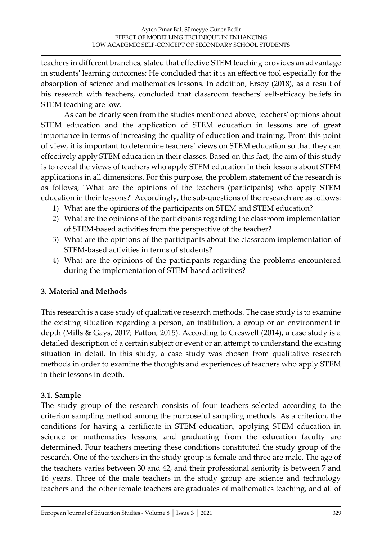teachers in different branches, stated that effective STEM teaching provides an advantage in students' learning outcomes; He concluded that it is an effective tool especially for the absorption of science and mathematics lessons. In addition, Ersoy (2018), as a result of his research with teachers, concluded that classroom teachers' self-efficacy beliefs in STEM teaching are low.

As can be clearly seen from the studies mentioned above, teachers' opinions about STEM education and the application of STEM education in lessons are of great importance in terms of increasing the quality of education and training. From this point of view, it is important to determine teachers' views on STEM education so that they can effectively apply STEM education in their classes. Based on this fact, the aim of this study is to reveal the views of teachers who apply STEM education in their lessons about STEM applications in all dimensions. For this purpose, the problem statement of the research is as follows; "What are the opinions of the teachers (participants) who apply STEM education in their lessons?" Accordingly, the sub-questions of the research are as follows:

- 1) What are the opinions of the participants on STEM and STEM education?
- 2) What are the opinions of the participants regarding the classroom implementation of STEM-based activities from the perspective of the teacher?
- 3) What are the opinions of the participants about the classroom implementation of STEM-based activities in terms of students?
- 4) What are the opinions of the participants regarding the problems encountered during the implementation of STEM-based activities?

## **3. Material and Methods**

This research is a case study of qualitative research methods. The case study is to examine the existing situation regarding a person, an institution, a group or an environment in depth (Mills & Gays, 2017; Patton, 2015). According to Creswell (2014), a case study is a detailed description of a certain subject or event or an attempt to understand the existing situation in detail. In this study, a case study was chosen from qualitative research methods in order to examine the thoughts and experiences of teachers who apply STEM in their lessons in depth.

## **3.1. Sample**

The study group of the research consists of four teachers selected according to the criterion sampling method among the purposeful sampling methods. As a criterion, the conditions for having a certificate in STEM education, applying STEM education in science or mathematics lessons, and graduating from the education faculty are determined. Four teachers meeting these conditions constituted the study group of the research. One of the teachers in the study group is female and three are male. The age of the teachers varies between 30 and 42, and their professional seniority is between 7 and 16 years. Three of the male teachers in the study group are science and technology teachers and the other female teachers are graduates of mathematics teaching, and all of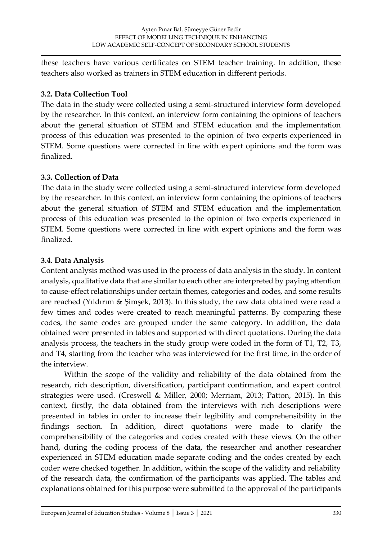these teachers have various certificates on STEM teacher training. In addition, these teachers also worked as trainers in STEM education in different periods.

## **3.2. Data Collection Tool**

The data in the study were collected using a semi-structured interview form developed by the researcher. In this context, an interview form containing the opinions of teachers about the general situation of STEM and STEM education and the implementation process of this education was presented to the opinion of two experts experienced in STEM. Some questions were corrected in line with expert opinions and the form was finalized.

## **3.3. Collection of Data**

The data in the study were collected using a semi-structured interview form developed by the researcher. In this context, an interview form containing the opinions of teachers about the general situation of STEM and STEM education and the implementation process of this education was presented to the opinion of two experts experienced in STEM. Some questions were corrected in line with expert opinions and the form was finalized.

## **3.4. Data Analysis**

Content analysis method was used in the process of data analysis in the study. In content analysis, qualitative data that are similar to each other are interpreted by paying attention to cause-effect relationships under certain themes, categories and codes, and some results are reached (Yıldırım & Şimşek, 2013). In this study, the raw data obtained were read a few times and codes were created to reach meaningful patterns. By comparing these codes, the same codes are grouped under the same category. In addition, the data obtained were presented in tables and supported with direct quotations. During the data analysis process, the teachers in the study group were coded in the form of T1, T2, T3, and T4, starting from the teacher who was interviewed for the first time, in the order of the interview.

Within the scope of the validity and reliability of the data obtained from the research, rich description, diversification, participant confirmation, and expert control strategies were used. (Creswell & Miller, 2000; Merriam, 2013; Patton, 2015). In this context, firstly, the data obtained from the interviews with rich descriptions were presented in tables in order to increase their legibility and comprehensibility in the findings section. In addition, direct quotations were made to clarify the comprehensibility of the categories and codes created with these views. On the other hand, during the coding process of the data, the researcher and another researcher experienced in STEM education made separate coding and the codes created by each coder were checked together. In addition, within the scope of the validity and reliability of the research data, the confirmation of the participants was applied. The tables and explanations obtained for this purpose were submitted to the approval of the participants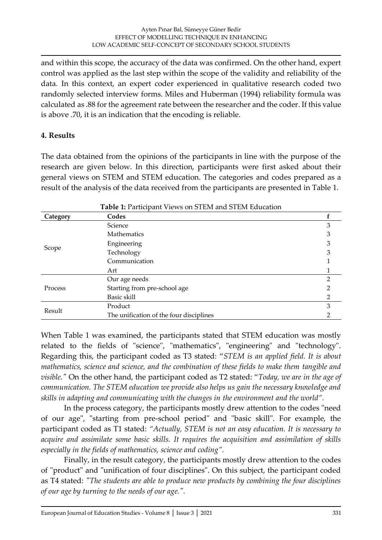and within this scope, the accuracy of the data was confirmed. On the other hand, expert control was applied as the last step within the scope of the validity and reliability of the data. In this context, an expert coder experienced in qualitative research coded two randomly selected interview forms. Miles and Huberman (1994) reliability formula was calculated as .88 for the agreement rate between the researcher and the coder. If this value is above .70, it is an indication that the encoding is reliable.

## **4. Results**

The data obtained from the opinions of the participants in line with the purpose of the research are given below. In this direction, participants were first asked about their general views on STEM and STEM education. The categories and codes prepared as a result of the analysis of the data received from the participants are presented in Table 1.

| <b>Table 1:</b> Participant Views on STEM and STEM Education |                                         |   |  |  |
|--------------------------------------------------------------|-----------------------------------------|---|--|--|
| Category                                                     | Codes                                   |   |  |  |
|                                                              | Science                                 | 3 |  |  |
|                                                              | Mathematics                             |   |  |  |
|                                                              | Engineering                             |   |  |  |
| Scope                                                        | Technology                              |   |  |  |
|                                                              | Communication                           |   |  |  |
|                                                              | Art                                     |   |  |  |
|                                                              | Our age needs                           | っ |  |  |
| <b>Process</b>                                               | Starting from pre-school age            |   |  |  |
|                                                              | Basic skill                             |   |  |  |
|                                                              | Product                                 | 3 |  |  |
| Result                                                       | The unification of the four disciplines |   |  |  |

When Table 1 was examined, the participants stated that STEM education was mostly related to the fields of "science", "mathematics", "engineering" and "technology". Regarding this, the participant coded as T3 stated: "*STEM is an applied field. It is about mathematics, science and science, and the combination of these fields to make them tangible and visible."* On the other hand, the participant coded as T2 stated: "*Today, we are in the age of communication. The STEM education we provide also helps us gain the necessary knowledge and skills in adapting and communicating with the changes in the environment and the world".*

In the process category, the participants mostly drew attention to the codes "need of our age", "starting from pre-school period" and "basic skill". For example, the participant coded as T1 stated: *"Actually, STEM is not an easy education. It is necessary to acquire and assimilate some basic skills. It requires the acquisition and assimilation of skills especially in the fields of mathematics, science and coding".*

Finally, in the result category, the participants mostly drew attention to the codes of "product" and "unification of four disciplines". On this subject, the participant coded as T4 stated: *"The students are able to produce new products by combining the four disciplines of our age by turning to the needs of our age.".*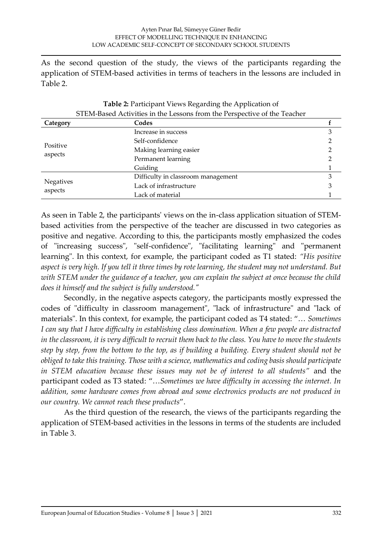As the second question of the study, the views of the participants regarding the application of STEM-based activities in terms of teachers in the lessons are included in Table 2.

| STEM-Based Activities in the Lessons from the Perspective of the Teacher |                                    |   |  |  |
|--------------------------------------------------------------------------|------------------------------------|---|--|--|
| Category                                                                 | Codes                              |   |  |  |
| Positive<br>aspects                                                      | Increase in success                |   |  |  |
|                                                                          | Self-confidence                    |   |  |  |
|                                                                          | Making learning easier             |   |  |  |
|                                                                          | Permanent learning                 |   |  |  |
|                                                                          | Guiding                            |   |  |  |
| Negatives<br>aspects                                                     | Difficulty in classroom management | З |  |  |
|                                                                          | Lack of infrastructure             |   |  |  |
|                                                                          | Lack of material                   |   |  |  |

**Table 2:** Participant Views Regarding the Application of

As seen in Table 2, the participants' views on the in-class application situation of STEMbased activities from the perspective of the teacher are discussed in two categories as positive and negative. According to this, the participants mostly emphasized the codes of "increasing success", "self-confidence", "facilitating learning" and "permanent learning". In this context, for example, the participant coded as T1 stated: *"His positive aspect is very high. If you tell it three times by rote learning, the student may not understand. But with STEM under the guidance of a teacher, you can explain the subject at once because the child does it himself and the subject is fully understood."*

Secondly, in the negative aspects category, the participants mostly expressed the codes of "difficulty in classroom management", "lack of infrastructure" and "lack of materials". In this context, for example, the participant coded as T4 stated: "… *Sometimes I can say that I have difficulty in establishing class domination. When a few people are distracted in the classroom, it is very difficult to recruit them back to the class. You have to move the students step by step, from the bottom to the top, as if building a building. Every student should not be obliged to take this training. Those with a science, mathematics and coding basis should participate in STEM education because these issues may not be of interest to all students"* and the participant coded as T3 stated: "…*Sometimes we have difficulty in accessing the internet. In addition, some hardware comes from abroad and some electronics products are not produced in our country. We cannot reach these products*".

As the third question of the research, the views of the participants regarding the application of STEM-based activities in the lessons in terms of the students are included in Table 3.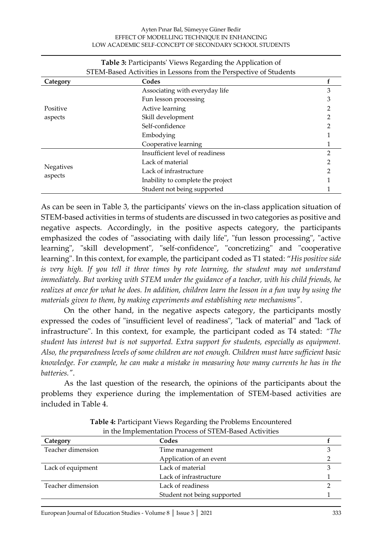#### Ayten Pınar Bal, Sümeyye Güner Bedir EFFECT OF MODELLING TECHNIQUE IN ENHANCING LOW ACADEMIC SELF-CONCEPT OF SECONDARY SCHOOL STUDENTS

| STEM-Based Activities in Lessons from the Perspective of Students |                                   |   |  |  |
|-------------------------------------------------------------------|-----------------------------------|---|--|--|
| Category                                                          | Codes                             |   |  |  |
|                                                                   | Associating with everyday life    | 3 |  |  |
|                                                                   | Fun lesson processing             |   |  |  |
| Positive                                                          | Active learning                   |   |  |  |
| aspects                                                           | Skill development                 |   |  |  |
|                                                                   | Self-confidence                   |   |  |  |
|                                                                   | Embodying                         |   |  |  |
|                                                                   | Cooperative learning              |   |  |  |
|                                                                   | Insufficient level of readiness   | 2 |  |  |
|                                                                   | Lack of material                  |   |  |  |
| <b>Negatives</b><br>aspects                                       | Lack of infrastructure            |   |  |  |
|                                                                   | Inability to complete the project |   |  |  |
|                                                                   | Student not being supported       |   |  |  |

# **Table 3:** Participants' Views Regarding the Application of

As can be seen in Table 3, the participants' views on the in-class application situation of STEM-based activities in terms of students are discussed in two categories as positive and negative aspects. Accordingly, in the positive aspects category, the participants emphasized the codes of "associating with daily life", "fun lesson processing", "active learning", "skill development", "self-confidence", "concretizing" and "cooperative learning". In this context, for example, the participant coded as T1 stated: "*His positive side*  is very high. If you tell it three times by rote learning, the student may not understand *immediately. But working with STEM under the guidance of a teacher, with his child friends, he*  realizes at once for what he does. In addition, children learn the lesson in a fun way by using the *materials given to them, by making experiments and establishing new mechanisms"*.

On the other hand, in the negative aspects category, the participants mostly expressed the codes of "insufficient level of readiness", "lack of material" and "lack of infrastructure". In this context, for example, the participant coded as T4 stated: *"The student has interest but is not supported. Extra support for students, especially as equipment. Also, the preparedness levels of some children are not enough. Children must have sufficient basic knowledge. For example, he can make a mistake in measuring how many currents he has in the batteries."*.

As the last question of the research, the opinions of the participants about the problems they experience during the implementation of STEM-based activities are included in Table 4.

| <u>ht ale mighthichadoli i roccoo or o run daoca ricavidico</u> |                             |  |  |
|-----------------------------------------------------------------|-----------------------------|--|--|
| Category                                                        | Codes                       |  |  |
| Teacher dimension                                               | Time management             |  |  |
|                                                                 | Application of an event     |  |  |
| Lack of equipment                                               | Lack of material            |  |  |
|                                                                 | Lack of infrastructure      |  |  |
| Teacher dimension                                               | Lack of readiness           |  |  |
|                                                                 | Student not being supported |  |  |
|                                                                 |                             |  |  |

#### **Table 4:** Participant Views Regarding the Problems Encountered in the Implementation Process of STEM-Based Activities

[European Journal of Education Studies -](http://oapub.org/edu/index.php/ejes) Volume 8 | [Issue 3](http://oapub.org/edu/index.php/ejes) | [2021](http://oapub.org/edu/index.php/ejes) 333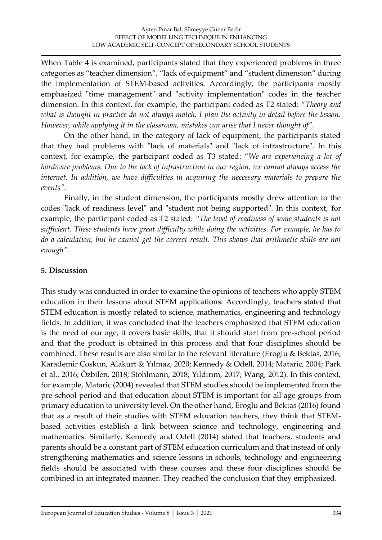When Table 4 is examined, participants stated that they experienced problems in three categories as "teacher dimension", "lack of equipment" and "student dimension" during the implementation of STEM-based activities. Accordingly, the participants mostly emphasized "time management" and "activity implementation" codes in the teacher dimension. In this context, for example, the participant coded as T2 stated: "*Theory and what is thought in practice do not always match. I plan the activity in detail before the lesson. However, while applying it in the classroom, mistakes can arise that I never thought of".*

On the other hand, in the category of lack of equipment, the participants stated that they had problems with "lack of materials" and "lack of infrastructure". In this context, for example, the participant coded as T3 stated: "*We are experiencing a lot of hardware problems. Due to the lack of infrastructure in our region, we cannot always access the*  internet. In addition, we have difficulties in acquiring the necessary materials to prepare the *events".*

Finally, in the student dimension, the participants mostly drew attention to the codes "lack of readiness level" and "student not being supported". In this context, for example, the participant coded as T2 stated: *"The level of readiness of some students is not sufficient. These students have great difficulty while doing the activities. For example, he has to do a calculation, but he cannot get the correct result. This shows that arithmetic skills are not enough".* 

## **5. Discussion**

This study was conducted in order to examine the opinions of teachers who apply STEM education in their lessons about STEM applications. Accordingly, teachers stated that STEM education is mostly related to science, mathematics, engineering and technology fields. In addition, it was concluded that the teachers emphasized that STEM education is the need of our age, it covers basic skills, that it should start from pre-school period and that the product is obtained in this process and that four disciplines should be combined. These results are also similar to the relevant literature (Eroglu & Bektas, 2016; Karademir Coskun, Alakurt & Yılmaz, 2020; Kennedy & Odell, 2014; Mataric, 2004; Park et al., 2016; Özbilen, 2018; Stohlmann, 2018; Yıldırım, 2017; Wang, 2012). In this context, for example, Mataric (2004) revealed that STEM studies should be implemented from the pre-school period and that education about STEM is important for all age groups from primary education to university level. On the other hand, Eroglu and Bektas (2016) found that as a result of their studies with STEM education teachers, they think that STEMbased activities establish a link between science and technology, engineering and mathematics. Similarly, Kennedy and Odell (2014) stated that teachers, students and parents should be a constant part of STEM education curriculum and that instead of only strengthening mathematics and science lessons in schools, technology and engineering fields should be associated with these courses and these four disciplines should be combined in an integrated manner. They reached the conclusion that they emphasized.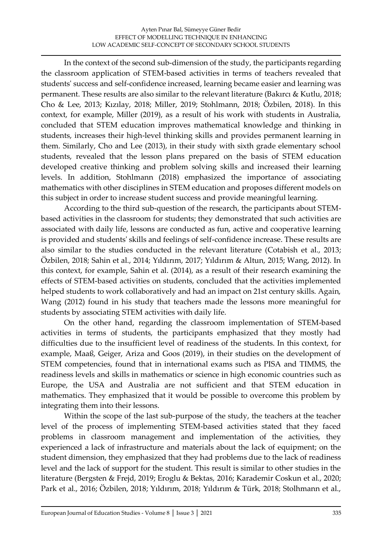In the context of the second sub-dimension of the study, the participants regarding the classroom application of STEM-based activities in terms of teachers revealed that students' success and self-confidence increased, learning became easier and learning was permanent. These results are also similar to the relevant literature (Bakırcı & Kutlu, 2018; Cho & Lee, 2013; Kızılay, 2018; Miller, 2019; Stohlmann, 2018; Özbilen, 2018). In this context, for example, Miller (2019), as a result of his work with students in Australia, concluded that STEM education improves mathematical knowledge and thinking in students, increases their high-level thinking skills and provides permanent learning in them. Similarly, Cho and Lee (2013), in their study with sixth grade elementary school students, revealed that the lesson plans prepared on the basis of STEM education developed creative thinking and problem solving skills and increased their learning levels. In addition, Stohlmann (2018) emphasized the importance of associating mathematics with other disciplines in STEM education and proposes different models on this subject in order to increase student success and provide meaningful learning.

According to the third sub-question of the research, the participants about STEMbased activities in the classroom for students; they demonstrated that such activities are associated with daily life, lessons are conducted as fun, active and cooperative learning is provided and students' skills and feelings of self-confidence increase. These results are also similar to the studies conducted in the relevant literature (Cotabish et al., 2013; Özbilen, 2018; Sahin et al., 2014; Yıldırım, 2017; Yıldırım & Altun, 2015; Wang, 2012). In this context, for example, Sahin et al. (2014), as a result of their research examining the effects of STEM-based activities on students, concluded that the activities implemented helped students to work collaboratively and had an impact on 21st century skills. Again, Wang (2012) found in his study that teachers made the lessons more meaningful for students by associating STEM activities with daily life.

On the other hand, regarding the classroom implementation of STEM-based activities in terms of students, the participants emphasized that they mostly had difficulties due to the insufficient level of readiness of the students. In this context, for example, Maaß, Geiger, Ariza and Goos (2019), in their studies on the development of STEM competencies, found that in international exams such as PISA and TIMMS, the readiness levels and skills in mathematics or science in high economic countries such as Europe, the USA and Australia are not sufficient and that STEM education in mathematics. They emphasized that it would be possible to overcome this problem by integrating them into their lessons.

Within the scope of the last sub-purpose of the study, the teachers at the teacher level of the process of implementing STEM-based activities stated that they faced problems in classroom management and implementation of the activities, they experienced a lack of infrastructure and materials about the lack of equipment; on the student dimension, they emphasized that they had problems due to the lack of readiness level and the lack of support for the student. This result is similar to other studies in the literature (Bergsten & Frejd, 2019; Eroglu & Bektas, 2016; Karademir Coskun et al., 2020; Park et al., 2016; Özbilen, 2018; Yıldırım, 2018; Yıldırım & Türk, 2018; Stolhmann et al.,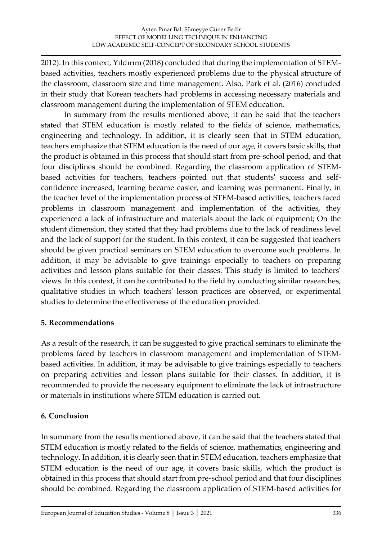2012). In this context, Yıldırım (2018) concluded that during the implementation of STEMbased activities, teachers mostly experienced problems due to the physical structure of the classroom, classroom size and time management. Also, Park et al. (2016) concluded in their study that Korean teachers had problems in accessing necessary materials and classroom management during the implementation of STEM education.

In summary from the results mentioned above, it can be said that the teachers stated that STEM education is mostly related to the fields of science, mathematics, engineering and technology. In addition, it is clearly seen that in STEM education, teachers emphasize that STEM education is the need of our age, it covers basic skills, that the product is obtained in this process that should start from pre-school period, and that four disciplines should be combined. Regarding the classroom application of STEMbased activities for teachers, teachers pointed out that students' success and selfconfidence increased, learning became easier, and learning was permanent. Finally, in the teacher level of the implementation process of STEM-based activities, teachers faced problems in classroom management and implementation of the activities, they experienced a lack of infrastructure and materials about the lack of equipment; On the student dimension, they stated that they had problems due to the lack of readiness level and the lack of support for the student. In this context, it can be suggested that teachers should be given practical seminars on STEM education to overcome such problems. In addition, it may be advisable to give trainings especially to teachers on preparing activities and lesson plans suitable for their classes. This study is limited to teachers' views. In this context, it can be contributed to the field by conducting similar researches, qualitative studies in which teachers' lesson practices are observed, or experimental studies to determine the effectiveness of the education provided.

## **5. Recommendations**

As a result of the research, it can be suggested to give practical seminars to eliminate the problems faced by teachers in classroom management and implementation of STEMbased activities. In addition, it may be advisable to give trainings especially to teachers on preparing activities and lesson plans suitable for their classes. In addition, it is recommended to provide the necessary equipment to eliminate the lack of infrastructure or materials in institutions where STEM education is carried out.

## **6. Conclusion**

In summary from the results mentioned above, it can be said that the teachers stated that STEM education is mostly related to the fields of science, mathematics, engineering and technology. In addition, it is clearly seen that in STEM education, teachers emphasize that STEM education is the need of our age, it covers basic skills, which the product is obtained in this process that should start from pre-school period and that four disciplines should be combined. Regarding the classroom application of STEM-based activities for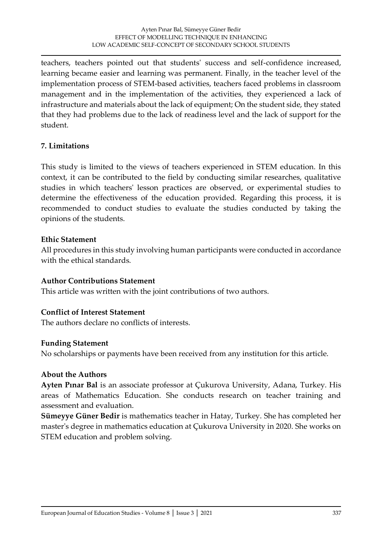teachers, teachers pointed out that students' success and self-confidence increased, learning became easier and learning was permanent. Finally, in the teacher level of the implementation process of STEM-based activities, teachers faced problems in classroom management and in the implementation of the activities, they experienced a lack of infrastructure and materials about the lack of equipment; On the student side, they stated that they had problems due to the lack of readiness level and the lack of support for the student.

## **7. Limitations**

This study is limited to the views of teachers experienced in STEM education. In this context, it can be contributed to the field by conducting similar researches, qualitative studies in which teachers' lesson practices are observed, or experimental studies to determine the effectiveness of the education provided. Regarding this process, it is recommended to conduct studies to evaluate the studies conducted by taking the opinions of the students.

## **Ethic Statement**

All procedures in this study involving human participants were conducted in accordance with the ethical standards.

## **Author Contributions Statement**

This article was written with the joint contributions of two authors.

## **Conflict of Interest Statement**

The authors declare no conflicts of interests.

## **Funding Statement**

No scholarships or payments have been received from any institution for this article.

## **About the Authors**

**Ayten Pınar Bal** is an associate professor at Çukurova University, Adana, Turkey. His areas of Mathematics Education. She conducts research on teacher training and assessment and evaluation.

**Sümeyye Güner Bedir** is mathematics teacher in Hatay, Turkey. She has completed her master's degree in mathematics education at Çukurova University in 2020. She works on STEM education and problem solving.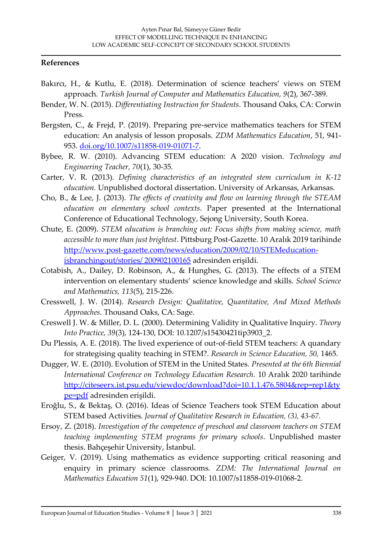#### **References**

- Bakırcı, H., & Kutlu, E. (2018). Determination of science teachers' views on STEM approach. *Turkish Journal of Computer and Mathematics Education, 9*(2), 367-389.
- Bender, W. N. (2015). *Differentiating Instruction for Students*. Thousand Oaks, CA: Corwin Press.
- Bergsten, C., & Frejd, P. (2019). Preparing pre-service mathematics teachers for STEM education: An analysis of lesson proposals. *ZDM Mathematics Education*, 51, 941- 953. [doi.org/10.1007/s11858-019-01071-7.](https://doi.org/10.1007/s11858-019-01071-7)
- Bybee, R. W. (2010). Advancing STEM education: A 2020 vision. *Technology and Engineering Teacher, 70*(1), 30-35.
- Carter, V. R. (2013). *Defining characteristics of an integrated stem curriculum in K-12 education.* Unpublished doctoral dissertation. University of Arkansas, Arkansas.
- Cho, B., & Lee, J. (2013). *The effects of creativity and flow on learning through the STEAM education on elementary school contexts*. Paper presented at the International Conference of Educational Technology, Sejong University, South Korea.
- Chute, E. (2009). *STEM education is branching out: Focus shifts from making science, math accessible to more than just brightest.* Pittsburg Post-Gazette. 10 Aralık 2019 tarihinde [http://www.post-gazette.com/news/education/2009/02/10/STEMeducation](http://www.post-gazette.com/news/education/2009/02/10/STEMeducation-isbranching-out/stories/200902100165)[isbranchingout/stories/ 200902100165](http://www.post-gazette.com/news/education/2009/02/10/STEMeducation-isbranching-out/stories/200902100165) adresinden erişildi.
- Cotabish, A., Dailey, D. Robinson, A., & Hunghes, G. (2013). The effects of a STEM intervention on elementary students' science knowledge and skills. *School Science and Mathematics, 113*(5), 215-226.
- Cresswell, J. W. (2014). *Research Design: Qualitative, Quantitative, And Mixed Methods Approaches*. Thousand Oaks, CA: Sage.
- Creswell J. W. & Miller, D. L. (2000). Determining Validity in Qualitative Inquiry. *Theory Into Practice, 39*(3), 124-130, DOI: 10.1207/s15430421tip3903\_2.
- Du Plessis, A. E. (2018). The lived experience of out-of-field STEM teachers: A quandary for strategising quality teaching in STEM?. *Research in Science Education, 50,* 1465.
- Dugger, W. E. (2010). Evolution of STEM in the United States. *Presented at the 6th Biennial International Conference on Technology Education Research.* 10 Aralık 2020 tarihinde [http://citeseerx.ist.psu.edu/viewdoc/download?doi=10.1.1.476.5804&rep=rep1&ty](http://citeseerx.ist.psu.edu/viewdoc/download?doi=10.1.1.476.5804&rep=rep1&type=pdf) [pe=pdf](http://citeseerx.ist.psu.edu/viewdoc/download?doi=10.1.1.476.5804&rep=rep1&type=pdf) adresinden erişildi.
- Eroğlu, S., & Bektaş, O. (2016). Ideas of Science Teachers took STEM Education about STEM based Activities. *Journal of Qualitative Research in Education, (3), 43-67.*
- Ersoy, Z. (2018). *Investigation of the competence of preschool and classroom teachers on STEM teaching implementing STEM programs for primary schools*. Unpublished master thesis. Bahçeşehir University, İstanbul.
- Geiger, V. (2019). Using mathematics as evidence supporting critical reasoning and enquiry in primary science classrooms. *ZDM: The International Journal on Mathematics Education 51*(1), 929-940. DOI: 10.1007/s11858-019-01068-2.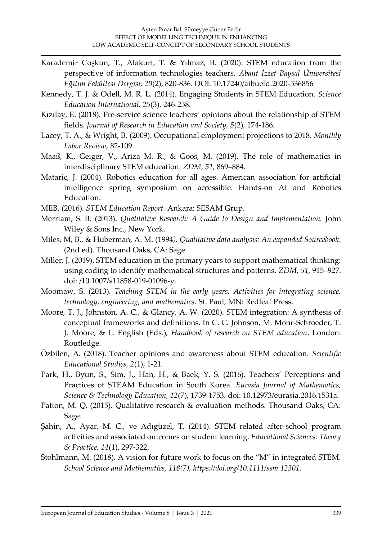- Karademir Coşkun, T., Alakurt, T. & Yılmaz, B. (2020). STEM education from the perspective of information technologies teachers. *Abant İzzet Baysal Üniversitesi Eğitim Fakültesi Dergisi, 20*(2), 820-836. DOI: 10.17240/aibuefd.2020-536856
- Kennedy, T. J. & Odell, M. R. L. (2014). Engaging Students in STEM Education. *Science Education International, 25*(3). 246-258.
- Kızılay, E. (2018). Pre-service science teachers' opinions about the relationship of STEM fields. *Journal of Research in Education and Society, 5*(2), 174-186.
- Lacey, T. A., & Wright, B. (2009). Occupational employment projections to 2018. *Monthly Labor Review,* 82-109.
- Maaß, K., Geiger, V., Ariza M. R., & Goos, M. (2019). The role of mathematics in interdisciplinary STEM education. *ZDM, 51*, 869–884.
- Mataric, J. (2004). Robotics education for all ages. American association for artificial intelligence spring symposium on accessible. Hands-on AI and Robotics Education.
- MEB, (2016). *STEM Education Report.* Ankara: SESAM Grup.
- Merriam, S. B. (2013). *Qualitative Research: A Guide to Design and Implementation.* John Wiley & Sons Inc., New York.
- Miles, M, B., & Huberman, A. M. (1994*). Qualitative data analysis: An expanded Sourcebook*. (2nd ed). Thousand Oaks, CA: Sage.
- Miller, J. (2019). STEM education in the primary years to support mathematical thinking: using coding to identify mathematical structures and patterns. *ZDM, 51*, 915–927. doi: /10.1007/s11858-019-01096-y.
- Moomaw, S. (2013). *Teaching STEM in the early years: Activities for integrating science, technology, engineering, and mathematics.* St. Paul, MN: Redleaf Press.
- Moore, T. J., Johnston, A. C., & Glancy, A. W. (2020). STEM integration: A synthesis of conceptual frameworks and definitions. In C. C. Johnson, M. Mohr-Schroeder, T. J. Moore, & L. English (Eds.), *Handbook of research on STEM education*. London: Routledge.
- Özbilen, A. (2018). Teacher opinions and awareness about STEM education. *Scientific Educational Studies, 2*(1), 1-21.
- Park, H., Byun, S., Sim, J., Han, H., & Baek, Y. S. (2016). Teachers' Perceptions and Practices of STEAM Education in South Korea. *Eurasia Journal of Mathematics, Science & Technology Education, 12*(7), 1739-1753. doi: 10.12973/eurasia.2016.1531a.
- Patton, M. Q. (2015). Qualitative research & evaluation methods. Thousand Oaks, CA: Sage.
- Şahin, A., Ayar, M. C., ve Adıgüzel, T. (2014). STEM related after-school program activities and associated outcomes on student learning. *Educational Sciences: Theory & Practice, 14*(1), 297-322.
- Stohlmann, M. (2018). A vision for future work to focus on the "M" in integrated STEM. *School Science and Mathematics, 118(7), https://doi.org/10.1111/ssm.12301.*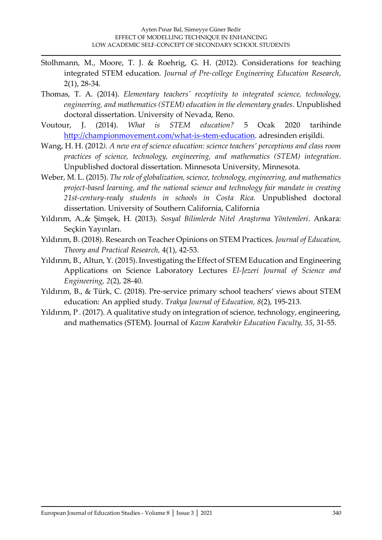- Stolhmann, M., Moore, T. J. & Roehrig, G. H. (2012). Considerations for teaching integrated STEM education*. Journal of Pre-college Engineering Education Research*, 2(1), 28-34.
- Thomas, T. A. (2014). *Elementary teachers' receptivity to integrated science, technology, engineering, and mathematics (STEM) education in the elementary grades*. Unpublished doctoral dissertation. University of Nevada, Reno.
- Voutour, J. (2014). *What is STEM education?* 5 Ocak 2020 tarihinde [http://championmovement.com/what-is-stem-education.](http://championmovement.com/what-is-stem-education) adresinden erişildi.
- Wang, H. H. (2012*). A new era of science education: science teachers' perceptions and class room practices of science, technology, engineering, and mathematics (STEM) integration*. Unpublished doctoral dissertation. Minnesota University, Minnesota.
- Weber, M. L. (2015). *The role of globalization, science, technology, engineering, and mathematics project-based learning, and the national science and technology fair mandate in creating 21st-century-ready students in schools in Costa Rica.* Unpublished doctoral dissertation. University of Southern California, California
- Yıldırım, A.,& Şimşek, H. (2013). *Sosyal Bilimlerde Nitel Araştırma Yöntemleri*. Ankara: Seçkin Yayınları.
- Yıldırım, B. (2018). Research on Teacher Opinions on STEM Practices. *Journal of Education, Theory and Practical Research,* 4(1), 42-53.
- Yıldırım, B., Altun, Y. (2015). Investigating the Effect of STEM Education and Engineering Applications on Science Laboratory Lectures *El-Jezeri Journal of Science and Engineering, 2*(2), 28-40.
- Yıldırım, B., & Türk, C. (2018). Pre-service primary school teachers' views about STEM education: An applied study. *Trakya Journal of Education, 8*(2), 195-213.
- Yıldırım, P . (2017). A qualitative study on integration of science, technology, engineering, and mathematics (STEM). Journal of *Kazım Karabekir Education Faculty, 35*, 31-55.